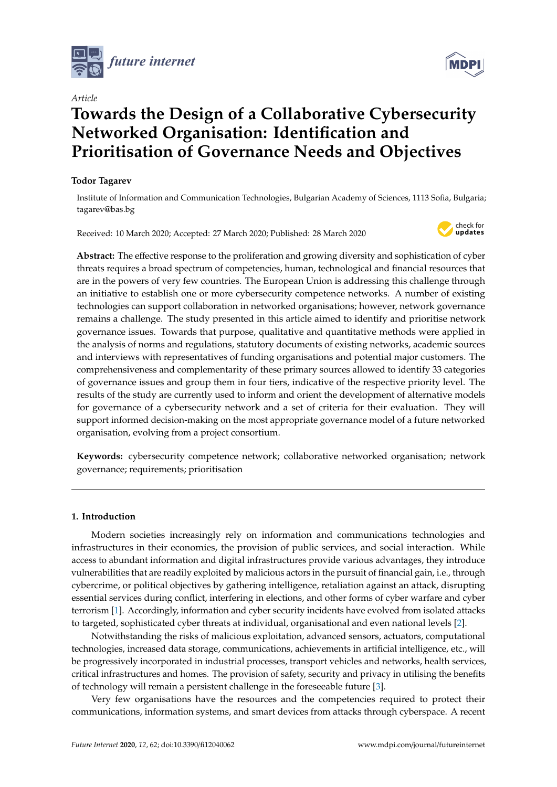

*Article*

# **Towards the Design of a Collaborative Cybersecurity Networked Organisation: Identification and Prioritisation of Governance Needs and Objectives**

# **Todor Tagarev**

Institute of Information and Communication Technologies, Bulgarian Academy of Sciences, 1113 Sofia, Bulgaria; tagarev@bas.bg

Received: 10 March 2020; Accepted: 27 March 2020; Published: 28 March 2020



**Abstract:** The effective response to the proliferation and growing diversity and sophistication of cyber threats requires a broad spectrum of competencies, human, technological and financial resources that are in the powers of very few countries. The European Union is addressing this challenge through an initiative to establish one or more cybersecurity competence networks. A number of existing technologies can support collaboration in networked organisations; however, network governance remains a challenge. The study presented in this article aimed to identify and prioritise network governance issues. Towards that purpose, qualitative and quantitative methods were applied in the analysis of norms and regulations, statutory documents of existing networks, academic sources and interviews with representatives of funding organisations and potential major customers. The comprehensiveness and complementarity of these primary sources allowed to identify 33 categories of governance issues and group them in four tiers, indicative of the respective priority level. The results of the study are currently used to inform and orient the development of alternative models for governance of a cybersecurity network and a set of criteria for their evaluation. They will support informed decision-making on the most appropriate governance model of a future networked organisation, evolving from a project consortium.

**Keywords:** cybersecurity competence network; collaborative networked organisation; network governance; requirements; prioritisation

# **1. Introduction**

Modern societies increasingly rely on information and communications technologies and infrastructures in their economies, the provision of public services, and social interaction. While access to abundant information and digital infrastructures provide various advantages, they introduce vulnerabilities that are readily exploited by malicious actors in the pursuit of financial gain, i.e., through cybercrime, or political objectives by gathering intelligence, retaliation against an attack, disrupting essential services during conflict, interfering in elections, and other forms of cyber warfare and cyber terrorism [\[1\]](#page-15-0). Accordingly, information and cyber security incidents have evolved from isolated attacks to targeted, sophisticated cyber threats at individual, organisational and even national levels [\[2\]](#page-15-1).

Notwithstanding the risks of malicious exploitation, advanced sensors, actuators, computational technologies, increased data storage, communications, achievements in artificial intelligence, etc., will be progressively incorporated in industrial processes, transport vehicles and networks, health services, critical infrastructures and homes. The provision of safety, security and privacy in utilising the benefits of technology will remain a persistent challenge in the foreseeable future [\[3\]](#page-15-2).

Very few organisations have the resources and the competencies required to protect their communications, information systems, and smart devices from attacks through cyberspace. A recent

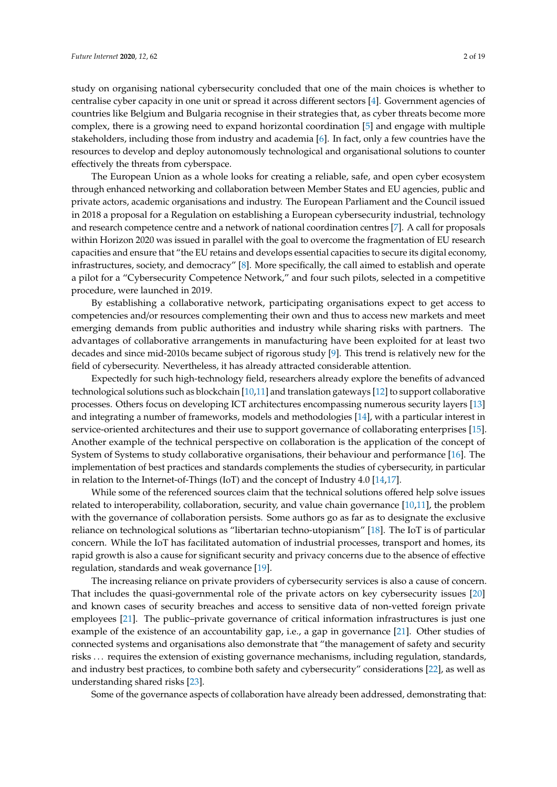study on organising national cybersecurity concluded that one of the main choices is whether to centralise cyber capacity in one unit or spread it across different sectors [\[4\]](#page-15-3). Government agencies of countries like Belgium and Bulgaria recognise in their strategies that, as cyber threats become more complex, there is a growing need to expand horizontal coordination [\[5\]](#page-15-4) and engage with multiple stakeholders, including those from industry and academia [\[6\]](#page-15-5). In fact, only a few countries have the resources to develop and deploy autonomously technological and organisational solutions to counter effectively the threats from cyberspace.

The European Union as a whole looks for creating a reliable, safe, and open cyber ecosystem through enhanced networking and collaboration between Member States and EU agencies, public and private actors, academic organisations and industry. The European Parliament and the Council issued in 2018 a proposal for a Regulation on establishing a European cybersecurity industrial, technology and research competence centre and a network of national coordination centres [\[7\]](#page-15-6). A call for proposals within Horizon 2020 was issued in parallel with the goal to overcome the fragmentation of EU research capacities and ensure that "the EU retains and develops essential capacities to secure its digital economy, infrastructures, society, and democracy" [\[8\]](#page-15-7). More specifically, the call aimed to establish and operate a pilot for a "Cybersecurity Competence Network," and four such pilots, selected in a competitive procedure, were launched in 2019.

By establishing a collaborative network, participating organisations expect to get access to competencies and/or resources complementing their own and thus to access new markets and meet emerging demands from public authorities and industry while sharing risks with partners. The advantages of collaborative arrangements in manufacturing have been exploited for at least two decades and since mid-2010s became subject of rigorous study [\[9\]](#page-15-8). This trend is relatively new for the field of cybersecurity. Nevertheless, it has already attracted considerable attention.

Expectedly for such high-technology field, researchers already explore the benefits of advanced technological solutions such as blockchain [\[10](#page-15-9)[,11\]](#page-15-10) and translation gateways [\[12\]](#page-15-11) to support collaborative processes. Others focus on developing ICT architectures encompassing numerous security layers [\[13\]](#page-15-12) and integrating a number of frameworks, models and methodologies [\[14\]](#page-15-13), with a particular interest in service-oriented architectures and their use to support governance of collaborating enterprises [\[15\]](#page-15-14). Another example of the technical perspective on collaboration is the application of the concept of System of Systems to study collaborative organisations, their behaviour and performance [\[16\]](#page-15-15). The implementation of best practices and standards complements the studies of cybersecurity, in particular in relation to the Internet-of-Things (IoT) and the concept of Industry 4.0 [\[14,](#page-15-13)[17\]](#page-15-16).

While some of the referenced sources claim that the technical solutions offered help solve issues related to interoperability, collaboration, security, and value chain governance [\[10](#page-15-9)[,11\]](#page-15-10), the problem with the governance of collaboration persists. Some authors go as far as to designate the exclusive reliance on technological solutions as "libertarian techno-utopianism" [\[18\]](#page-15-17). The IoT is of particular concern. While the IoT has facilitated automation of industrial processes, transport and homes, its rapid growth is also a cause for significant security and privacy concerns due to the absence of effective regulation, standards and weak governance [\[19\]](#page-16-0).

The increasing reliance on private providers of cybersecurity services is also a cause of concern. That includes the quasi-governmental role of the private actors on key cybersecurity issues [\[20\]](#page-16-1) and known cases of security breaches and access to sensitive data of non-vetted foreign private employees [\[21\]](#page-16-2). The public–private governance of critical information infrastructures is just one example of the existence of an accountability gap, i.e., a gap in governance [\[21\]](#page-16-2). Other studies of connected systems and organisations also demonstrate that "the management of safety and security risks . . . requires the extension of existing governance mechanisms, including regulation, standards, and industry best practices, to combine both safety and cybersecurity" considerations [\[22\]](#page-16-3), as well as understanding shared risks [\[23\]](#page-16-4).

Some of the governance aspects of collaboration have already been addressed, demonstrating that: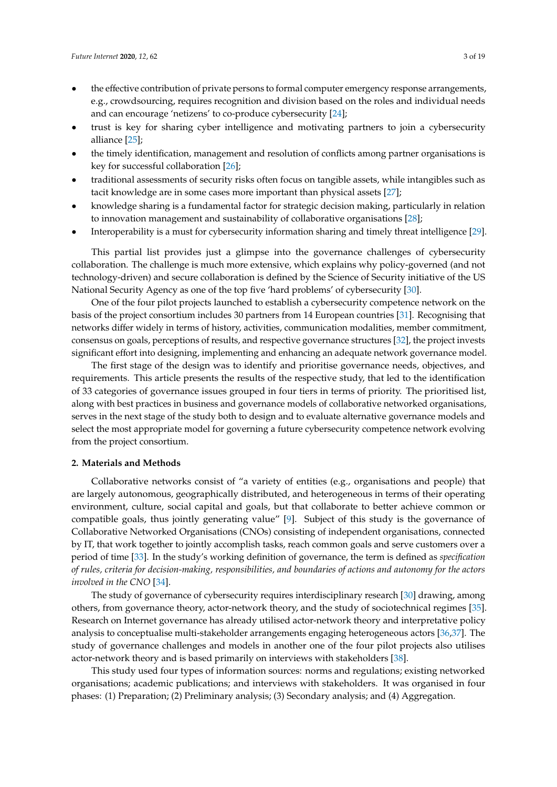- the effective contribution of private persons to formal computer emergency response arrangements, e.g., crowdsourcing, requires recognition and division based on the roles and individual needs and can encourage 'netizens' to co-produce cybersecurity [\[24\]](#page-16-5);
- trust is key for sharing cyber intelligence and motivating partners to join a cybersecurity alliance [\[25\]](#page-16-6);
- the timely identification, management and resolution of conflicts among partner organisations is key for successful collaboration [\[26\]](#page-16-7);
- traditional assessments of security risks often focus on tangible assets, while intangibles such as tacit knowledge are in some cases more important than physical assets [\[27\]](#page-16-8);
- knowledge sharing is a fundamental factor for strategic decision making, particularly in relation to innovation management and sustainability of collaborative organisations [\[28\]](#page-16-9);
- Interoperability is a must for cybersecurity information sharing and timely threat intelligence [\[29\]](#page-16-10).

This partial list provides just a glimpse into the governance challenges of cybersecurity collaboration. The challenge is much more extensive, which explains why policy-governed (and not technology-driven) and secure collaboration is defined by the Science of Security initiative of the US National Security Agency as one of the top five 'hard problems' of cybersecurity [\[30\]](#page-16-11).

One of the four pilot projects launched to establish a cybersecurity competence network on the basis of the project consortium includes 30 partners from 14 European countries [\[31\]](#page-16-12). Recognising that networks differ widely in terms of history, activities, communication modalities, member commitment, consensus on goals, perceptions of results, and respective governance structures [\[32\]](#page-16-13), the project invests significant effort into designing, implementing and enhancing an adequate network governance model.

The first stage of the design was to identify and prioritise governance needs, objectives, and requirements. This article presents the results of the respective study, that led to the identification of 33 categories of governance issues grouped in four tiers in terms of priority. The prioritised list, along with best practices in business and governance models of collaborative networked organisations, serves in the next stage of the study both to design and to evaluate alternative governance models and select the most appropriate model for governing a future cybersecurity competence network evolving from the project consortium.

#### **2. Materials and Methods**

Collaborative networks consist of "a variety of entities (e.g., organisations and people) that are largely autonomous, geographically distributed, and heterogeneous in terms of their operating environment, culture, social capital and goals, but that collaborate to better achieve common or compatible goals, thus jointly generating value" [\[9\]](#page-15-8). Subject of this study is the governance of Collaborative Networked Organisations (CNOs) consisting of independent organisations, connected by IT, that work together to jointly accomplish tasks, reach common goals and serve customers over a period of time [\[33\]](#page-16-14). In the study's working definition of governance, the term is defined as *specification of rules, criteria for decision-making, responsibilities, and boundaries of actions and autonomy for the actors involved in the CNO* [\[34\]](#page-16-15).

The study of governance of cybersecurity requires interdisciplinary research [\[30\]](#page-16-11) drawing, among others, from governance theory, actor-network theory, and the study of sociotechnical regimes [\[35\]](#page-16-16). Research on Internet governance has already utilised actor-network theory and interpretative policy analysis to conceptualise multi-stakeholder arrangements engaging heterogeneous actors [\[36,](#page-16-17)[37\]](#page-16-18). The study of governance challenges and models in another one of the four pilot projects also utilises actor-network theory and is based primarily on interviews with stakeholders [\[38\]](#page-16-19).

This study used four types of information sources: norms and regulations; existing networked organisations; academic publications; and interviews with stakeholders. It was organised in four phases: (1) Preparation; (2) Preliminary analysis; (3) Secondary analysis; and (4) Aggregation.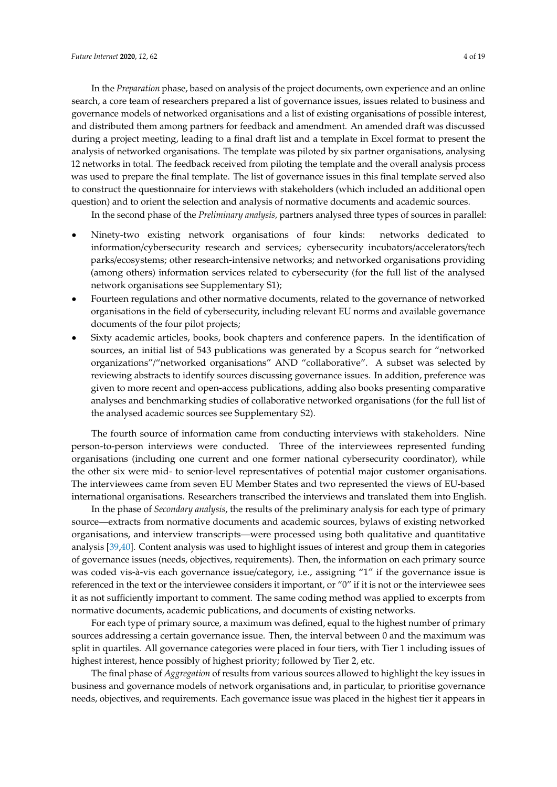In the *Preparation* phase, based on analysis of the project documents, own experience and an online search, a core team of researchers prepared a list of governance issues, issues related to business and governance models of networked organisations and a list of existing organisations of possible interest, and distributed them among partners for feedback and amendment. An amended draft was discussed during a project meeting, leading to a final draft list and a template in Excel format to present the analysis of networked organisations. The template was piloted by six partner organisations, analysing 12 networks in total. The feedback received from piloting the template and the overall analysis process was used to prepare the final template. The list of governance issues in this final template served also to construct the questionnaire for interviews with stakeholders (which included an additional open question) and to orient the selection and analysis of normative documents and academic sources.

In the second phase of the *Preliminary analysis,* partners analysed three types of sources in parallel:

- Ninety-two existing network organisations of four kinds: networks dedicated to information/cybersecurity research and services; cybersecurity incubators/accelerators/tech parks/ecosystems; other research-intensive networks; and networked organisations providing (among others) information services related to cybersecurity (for the full list of the analysed network organisations see Supplementary S1);
- Fourteen regulations and other normative documents, related to the governance of networked organisations in the field of cybersecurity, including relevant EU norms and available governance documents of the four pilot projects;
- Sixty academic articles, books, book chapters and conference papers. In the identification of sources, an initial list of 543 publications was generated by a Scopus search for "networked organizations"/"networked organisations" AND "collaborative". A subset was selected by reviewing abstracts to identify sources discussing governance issues. In addition, preference was given to more recent and open-access publications, adding also books presenting comparative analyses and benchmarking studies of collaborative networked organisations (for the full list of the analysed academic sources see Supplementary S2).

The fourth source of information came from conducting interviews with stakeholders. Nine person-to-person interviews were conducted. Three of the interviewees represented funding organisations (including one current and one former national cybersecurity coordinator), while the other six were mid- to senior-level representatives of potential major customer organisations. The interviewees came from seven EU Member States and two represented the views of EU-based international organisations. Researchers transcribed the interviews and translated them into English.

In the phase of *Secondary analysis*, the results of the preliminary analysis for each type of primary source—extracts from normative documents and academic sources, bylaws of existing networked organisations, and interview transcripts—were processed using both qualitative and quantitative analysis [\[39](#page-16-20)[,40\]](#page-16-21). Content analysis was used to highlight issues of interest and group them in categories of governance issues (needs, objectives, requirements). Then, the information on each primary source was coded vis-à-vis each governance issue/category, i.e., assigning "1" if the governance issue is referenced in the text or the interviewee considers it important, or "0" if it is not or the interviewee sees it as not sufficiently important to comment. The same coding method was applied to excerpts from normative documents, academic publications, and documents of existing networks.

For each type of primary source, a maximum was defined, equal to the highest number of primary sources addressing a certain governance issue. Then, the interval between 0 and the maximum was split in quartiles. All governance categories were placed in four tiers, with Tier 1 including issues of highest interest, hence possibly of highest priority; followed by Tier 2, etc.

The final phase of *Aggregation* of results from various sources allowed to highlight the key issues in business and governance models of network organisations and, in particular, to prioritise governance needs, objectives, and requirements. Each governance issue was placed in the highest tier it appears in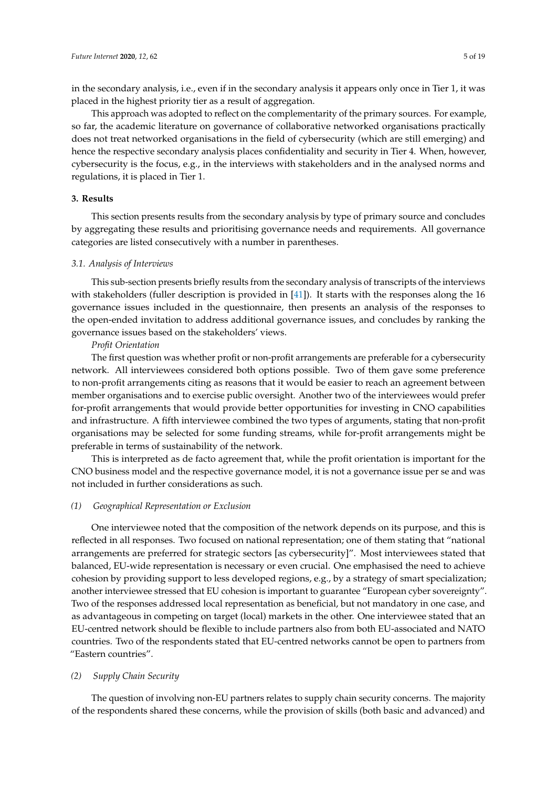in the secondary analysis, i.e., even if in the secondary analysis it appears only once in Tier 1, it was placed in the highest priority tier as a result of aggregation.

This approach was adopted to reflect on the complementarity of the primary sources. For example, so far, the academic literature on governance of collaborative networked organisations practically does not treat networked organisations in the field of cybersecurity (which are still emerging) and hence the respective secondary analysis places confidentiality and security in Tier 4. When, however, cybersecurity is the focus, e.g., in the interviews with stakeholders and in the analysed norms and regulations, it is placed in Tier 1.

## **3. Results**

This section presents results from the secondary analysis by type of primary source and concludes by aggregating these results and prioritising governance needs and requirements. All governance categories are listed consecutively with a number in parentheses.

## *3.1. Analysis of Interviews*

This sub-section presents briefly results from the secondary analysis of transcripts of the interviews with stakeholders (fuller description is provided in [\[41\]](#page-17-0)). It starts with the responses along the 16 governance issues included in the questionnaire, then presents an analysis of the responses to the open-ended invitation to address additional governance issues, and concludes by ranking the governance issues based on the stakeholders' views.

## *Profit Orientation*

The first question was whether profit or non-profit arrangements are preferable for a cybersecurity network. All interviewees considered both options possible. Two of them gave some preference to non-profit arrangements citing as reasons that it would be easier to reach an agreement between member organisations and to exercise public oversight. Another two of the interviewees would prefer for-profit arrangements that would provide better opportunities for investing in CNO capabilities and infrastructure. A fifth interviewee combined the two types of arguments, stating that non-profit organisations may be selected for some funding streams, while for-profit arrangements might be preferable in terms of sustainability of the network.

This is interpreted as de facto agreement that, while the profit orientation is important for the CNO business model and the respective governance model, it is not a governance issue per se and was not included in further considerations as such.

## *(1) Geographical Representation or Exclusion*

One interviewee noted that the composition of the network depends on its purpose, and this is reflected in all responses. Two focused on national representation; one of them stating that "national arrangements are preferred for strategic sectors [as cybersecurity]". Most interviewees stated that balanced, EU-wide representation is necessary or even crucial. One emphasised the need to achieve cohesion by providing support to less developed regions, e.g., by a strategy of smart specialization; another interviewee stressed that EU cohesion is important to guarantee "European cyber sovereignty". Two of the responses addressed local representation as beneficial, but not mandatory in one case, and as advantageous in competing on target (local) markets in the other. One interviewee stated that an EU-centred network should be flexible to include partners also from both EU-associated and NATO countries. Two of the respondents stated that EU-centred networks cannot be open to partners from "Eastern countries".

#### *(2) Supply Chain Security*

The question of involving non-EU partners relates to supply chain security concerns. The majority of the respondents shared these concerns, while the provision of skills (both basic and advanced) and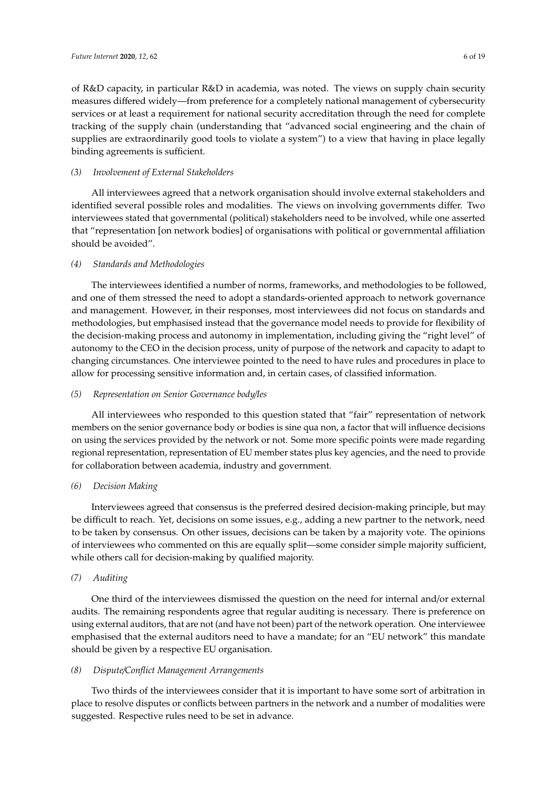of R&D capacity, in particular R&D in academia, was noted. The views on supply chain security measures differed widely—from preference for a completely national management of cybersecurity services or at least a requirement for national security accreditation through the need for complete tracking of the supply chain (understanding that "advanced social engineering and the chain of supplies are extraordinarily good tools to violate a system") to a view that having in place legally binding agreements is sufficient.

## *(3) Involvement of External Stakeholders*

All interviewees agreed that a network organisation should involve external stakeholders and identified several possible roles and modalities. The views on involving governments differ. Two interviewees stated that governmental (political) stakeholders need to be involved, while one asserted that "representation [on network bodies] of organisations with political or governmental affiliation should be avoided".

## *(4) Standards and Methodologies*

The interviewees identified a number of norms, frameworks, and methodologies to be followed, and one of them stressed the need to adopt a standards-oriented approach to network governance and management. However, in their responses, most interviewees did not focus on standards and methodologies, but emphasised instead that the governance model needs to provide for flexibility of the decision-making process and autonomy in implementation, including giving the "right level" of autonomy to the CEO in the decision process, unity of purpose of the network and capacity to adapt to changing circumstances. One interviewee pointed to the need to have rules and procedures in place to allow for processing sensitive information and, in certain cases, of classified information.

## *(5) Representation on Senior Governance body*/*Ies*

All interviewees who responded to this question stated that "fair" representation of network members on the senior governance body or bodies is sine qua non, a factor that will influence decisions on using the services provided by the network or not. Some more specific points were made regarding regional representation, representation of EU member states plus key agencies, and the need to provide for collaboration between academia, industry and government.

## *(6) Decision Making*

Interviewees agreed that consensus is the preferred desired decision-making principle, but may be difficult to reach. Yet, decisions on some issues, e.g., adding a new partner to the network, need to be taken by consensus. On other issues, decisions can be taken by a majority vote. The opinions of interviewees who commented on this are equally split—some consider simple majority sufficient, while others call for decision-making by qualified majority.

## *(7) Auditing*

One third of the interviewees dismissed the question on the need for internal and/or external audits. The remaining respondents agree that regular auditing is necessary. There is preference on using external auditors, that are not (and have not been) part of the network operation. One interviewee emphasised that the external auditors need to have a mandate; for an "EU network" this mandate should be given by a respective EU organisation.

### *(8) Dispute*/*Conflict Management Arrangements*

Two thirds of the interviewees consider that it is important to have some sort of arbitration in place to resolve disputes or conflicts between partners in the network and a number of modalities were suggested. Respective rules need to be set in advance.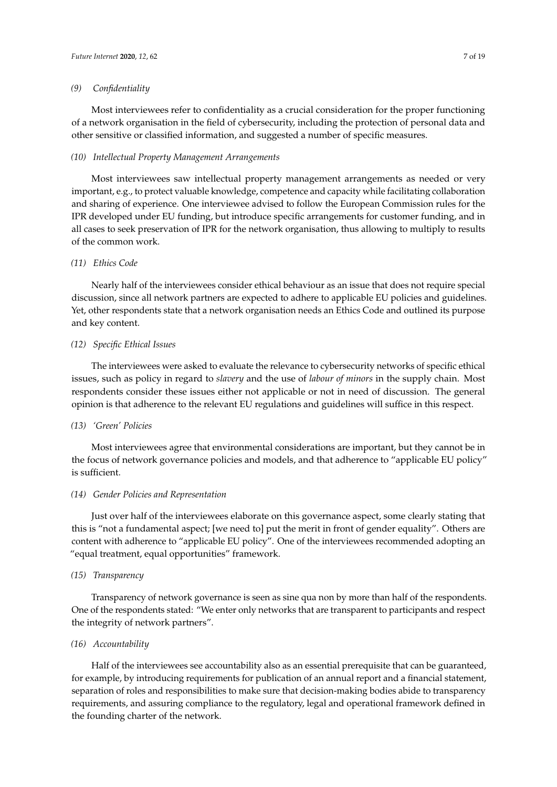#### *(9) Confidentiality*

Most interviewees refer to confidentiality as a crucial consideration for the proper functioning of a network organisation in the field of cybersecurity, including the protection of personal data and other sensitive or classified information, and suggested a number of specific measures.

## *(10) Intellectual Property Management Arrangements*

Most interviewees saw intellectual property management arrangements as needed or very important, e.g., to protect valuable knowledge, competence and capacity while facilitating collaboration and sharing of experience. One interviewee advised to follow the European Commission rules for the IPR developed under EU funding, but introduce specific arrangements for customer funding, and in all cases to seek preservation of IPR for the network organisation, thus allowing to multiply to results of the common work.

# *(11) Ethics Code*

Nearly half of the interviewees consider ethical behaviour as an issue that does not require special discussion, since all network partners are expected to adhere to applicable EU policies and guidelines. Yet, other respondents state that a network organisation needs an Ethics Code and outlined its purpose and key content.

## *(12) Specific Ethical Issues*

The interviewees were asked to evaluate the relevance to cybersecurity networks of specific ethical issues, such as policy in regard to *slavery* and the use of *labour of minors* in the supply chain. Most respondents consider these issues either not applicable or not in need of discussion. The general opinion is that adherence to the relevant EU regulations and guidelines will suffice in this respect.

## *(13) 'Green' Policies*

Most interviewees agree that environmental considerations are important, but they cannot be in the focus of network governance policies and models, and that adherence to "applicable EU policy" is sufficient.

### *(14) Gender Policies and Representation*

Just over half of the interviewees elaborate on this governance aspect, some clearly stating that this is "not a fundamental aspect; [we need to] put the merit in front of gender equality". Others are content with adherence to "applicable EU policy". One of the interviewees recommended adopting an "equal treatment, equal opportunities" framework.

## *(15) Transparency*

Transparency of network governance is seen as sine qua non by more than half of the respondents. One of the respondents stated: "We enter only networks that are transparent to participants and respect the integrity of network partners".

## *(16) Accountability*

Half of the interviewees see accountability also as an essential prerequisite that can be guaranteed, for example, by introducing requirements for publication of an annual report and a financial statement, separation of roles and responsibilities to make sure that decision-making bodies abide to transparency requirements, and assuring compliance to the regulatory, legal and operational framework defined in the founding charter of the network.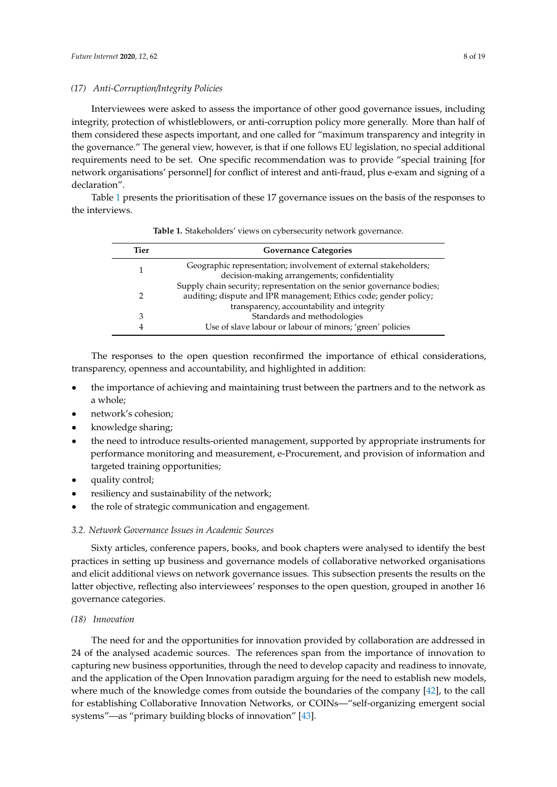## *(17) Anti-Corruption*/*Integrity Policies*

Interviewees were asked to assess the importance of other good governance issues, including integrity, protection of whistleblowers, or anti-corruption policy more generally. More than half of them considered these aspects important, and one called for "maximum transparency and integrity in the governance." The general view, however, is that if one follows EU legislation, no special additional requirements need to be set. One specific recommendation was to provide "special training [for network organisations' personnel] for conflict of interest and anti-fraud, plus e-exam and signing of a declaration".

<span id="page-7-0"></span>Table [1](#page-7-0) presents the prioritisation of these 17 governance issues on the basis of the responses to the interviews.

| Tier | <b>Governance Categories</b>                                           |  |
|------|------------------------------------------------------------------------|--|
|      | Geographic representation; involvement of external stakeholders;       |  |
|      | decision-making arrangements; confidentiality                          |  |
|      | Supply chain security; representation on the senior governance bodies; |  |
|      | auditing; dispute and IPR management; Ethics code; gender policy;      |  |
|      | transparency, accountability and integrity                             |  |
| 3    | Standards and methodologies                                            |  |
|      | Use of slave labour or labour of minors; 'green' policies              |  |

#### **Table 1.** Stakeholders' views on cybersecurity network governance.

The responses to the open question reconfirmed the importance of ethical considerations, transparency, openness and accountability, and highlighted in addition:

- the importance of achieving and maintaining trust between the partners and to the network as a whole;
- network's cohesion;
- knowledge sharing;
- the need to introduce results-oriented management, supported by appropriate instruments for performance monitoring and measurement, e-Procurement, and provision of information and targeted training opportunities;
- quality control;
- resiliency and sustainability of the network;
- the role of strategic communication and engagement.

## *3.2. Network Governance Issues in Academic Sources*

Sixty articles, conference papers, books, and book chapters were analysed to identify the best practices in setting up business and governance models of collaborative networked organisations and elicit additional views on network governance issues. This subsection presents the results on the latter objective, reflecting also interviewees' responses to the open question, grouped in another 16 governance categories.

*(18) Innovation*

The need for and the opportunities for innovation provided by collaboration are addressed in 24 of the analysed academic sources. The references span from the importance of innovation to capturing new business opportunities, through the need to develop capacity and readiness to innovate, and the application of the Open Innovation paradigm arguing for the need to establish new models, where much of the knowledge comes from outside the boundaries of the company [\[42\]](#page-17-1), to the call for establishing Collaborative Innovation Networks, or COINs—"self-organizing emergent social systems"—as "primary building blocks of innovation" [\[43\]](#page-17-2).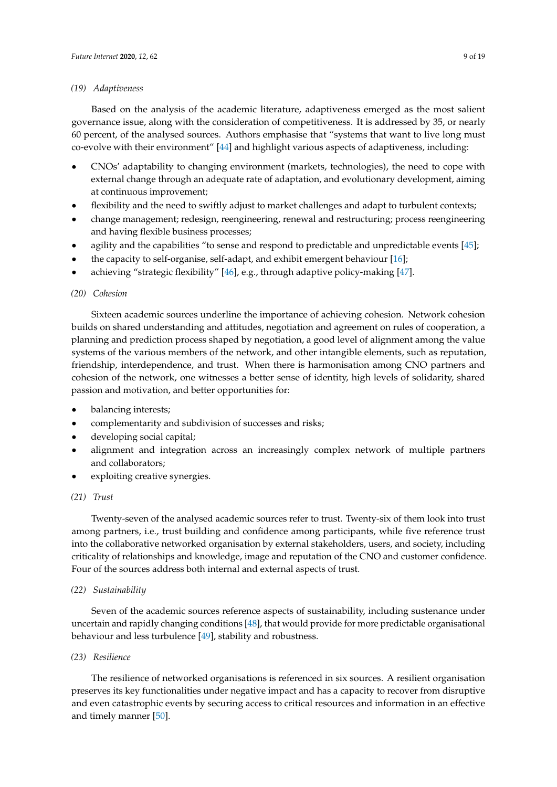#### *(19) Adaptiveness*

Based on the analysis of the academic literature, adaptiveness emerged as the most salient governance issue, along with the consideration of competitiveness. It is addressed by 35, or nearly 60 percent, of the analysed sources. Authors emphasise that "systems that want to live long must co-evolve with their environment" [\[44\]](#page-17-3) and highlight various aspects of adaptiveness, including:

- CNOs' adaptability to changing environment (markets, technologies), the need to cope with external change through an adequate rate of adaptation, and evolutionary development, aiming at continuous improvement;
- flexibility and the need to swiftly adjust to market challenges and adapt to turbulent contexts;
- change management; redesign, reengineering, renewal and restructuring; process reengineering and having flexible business processes;
- agility and the capabilities "to sense and respond to predictable and unpredictable events [\[45\]](#page-17-4);
- the capacity to self-organise, self-adapt, and exhibit emergent behaviour [\[16\]](#page-15-15);
- achieving "strategic flexibility" [\[46\]](#page-17-5), e.g., through adaptive policy-making [\[47\]](#page-17-6).

#### *(20) Cohesion*

Sixteen academic sources underline the importance of achieving cohesion. Network cohesion builds on shared understanding and attitudes, negotiation and agreement on rules of cooperation, a planning and prediction process shaped by negotiation, a good level of alignment among the value systems of the various members of the network, and other intangible elements, such as reputation, friendship, interdependence, and trust. When there is harmonisation among CNO partners and cohesion of the network, one witnesses a better sense of identity, high levels of solidarity, shared passion and motivation, and better opportunities for:

- balancing interests;
- complementarity and subdivision of successes and risks;
- developing social capital;
- alignment and integration across an increasingly complex network of multiple partners and collaborators;
- exploiting creative synergies.

# *(21) Trust*

Twenty-seven of the analysed academic sources refer to trust. Twenty-six of them look into trust among partners, i.e., trust building and confidence among participants, while five reference trust into the collaborative networked organisation by external stakeholders, users, and society, including criticality of relationships and knowledge, image and reputation of the CNO and customer confidence. Four of the sources address both internal and external aspects of trust.

## *(22) Sustainability*

Seven of the academic sources reference aspects of sustainability, including sustenance under uncertain and rapidly changing conditions [\[48\]](#page-17-7), that would provide for more predictable organisational behaviour and less turbulence [\[49\]](#page-17-8), stability and robustness.

#### *(23) Resilience*

The resilience of networked organisations is referenced in six sources. A resilient organisation preserves its key functionalities under negative impact and has a capacity to recover from disruptive and even catastrophic events by securing access to critical resources and information in an effective and timely manner [\[50\]](#page-17-9).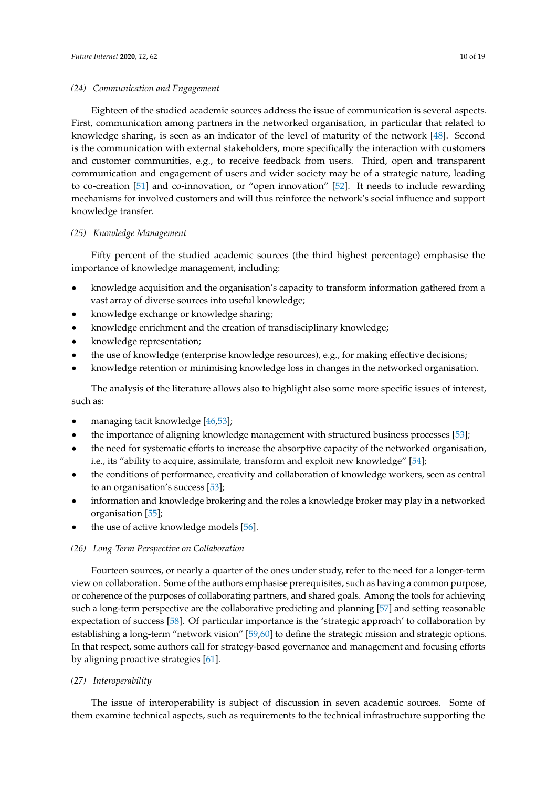## *(24) Communication and Engagement*

Eighteen of the studied academic sources address the issue of communication is several aspects. First, communication among partners in the networked organisation, in particular that related to knowledge sharing, is seen as an indicator of the level of maturity of the network [\[48\]](#page-17-7). Second is the communication with external stakeholders, more specifically the interaction with customers and customer communities, e.g., to receive feedback from users. Third, open and transparent communication and engagement of users and wider society may be of a strategic nature, leading to co-creation [\[51\]](#page-17-10) and co-innovation, or "open innovation" [\[52\]](#page-17-11). It needs to include rewarding mechanisms for involved customers and will thus reinforce the network's social influence and support knowledge transfer.

#### *(25) Knowledge Management*

Fifty percent of the studied academic sources (the third highest percentage) emphasise the importance of knowledge management, including:

- knowledge acquisition and the organisation's capacity to transform information gathered from a vast array of diverse sources into useful knowledge;
- knowledge exchange or knowledge sharing;
- knowledge enrichment and the creation of transdisciplinary knowledge;
- knowledge representation;
- the use of knowledge (enterprise knowledge resources), e.g., for making effective decisions;
- knowledge retention or minimising knowledge loss in changes in the networked organisation.

The analysis of the literature allows also to highlight also some more specific issues of interest, such as:

- managing tacit knowledge [\[46](#page-17-5)[,53\]](#page-17-12);
- the importance of aligning knowledge management with structured business processes [\[53\]](#page-17-12);
- the need for systematic efforts to increase the absorptive capacity of the networked organisation, i.e., its "ability to acquire, assimilate, transform and exploit new knowledge" [\[54\]](#page-17-13);
- the conditions of performance, creativity and collaboration of knowledge workers, seen as central to an organisation's success [\[53\]](#page-17-12);
- information and knowledge brokering and the roles a knowledge broker may play in a networked organisation [\[55\]](#page-17-14);
- the use of active knowledge models [\[56\]](#page-17-15).

## *(26) Long-Term Perspective on Collaboration*

Fourteen sources, or nearly a quarter of the ones under study, refer to the need for a longer-term view on collaboration. Some of the authors emphasise prerequisites, such as having a common purpose, or coherence of the purposes of collaborating partners, and shared goals. Among the tools for achieving such a long-term perspective are the collaborative predicting and planning [\[57\]](#page-17-16) and setting reasonable expectation of success [\[58\]](#page-17-17). Of particular importance is the 'strategic approach' to collaboration by establishing a long-term "network vision" [\[59](#page-17-18)[,60\]](#page-18-0) to define the strategic mission and strategic options. In that respect, some authors call for strategy-based governance and management and focusing efforts by aligning proactive strategies [\[61\]](#page-18-1).

## *(27) Interoperability*

The issue of interoperability is subject of discussion in seven academic sources. Some of them examine technical aspects, such as requirements to the technical infrastructure supporting the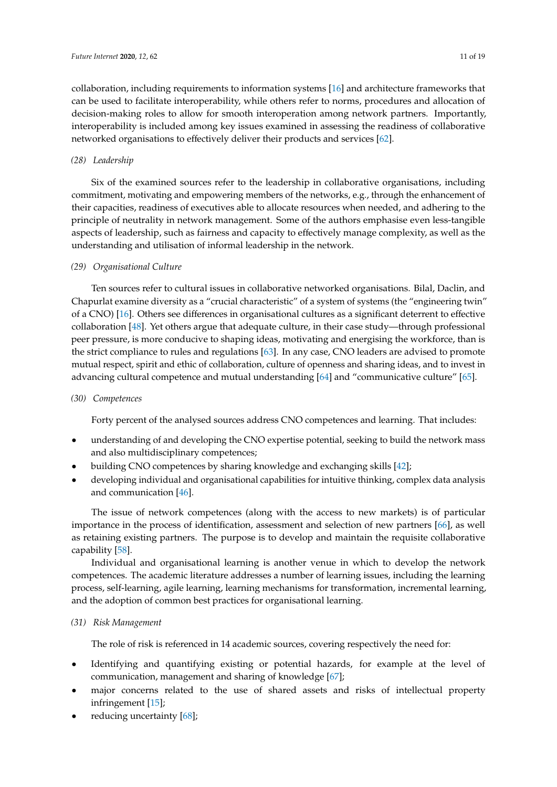collaboration, including requirements to information systems [\[16\]](#page-15-15) and architecture frameworks that can be used to facilitate interoperability, while others refer to norms, procedures and allocation of decision-making roles to allow for smooth interoperation among network partners. Importantly, interoperability is included among key issues examined in assessing the readiness of collaborative networked organisations to effectively deliver their products and services [\[62\]](#page-18-2).

### *(28) Leadership*

Six of the examined sources refer to the leadership in collaborative organisations, including commitment, motivating and empowering members of the networks, e.g., through the enhancement of their capacities, readiness of executives able to allocate resources when needed, and adhering to the principle of neutrality in network management. Some of the authors emphasise even less-tangible aspects of leadership, such as fairness and capacity to effectively manage complexity, as well as the understanding and utilisation of informal leadership in the network.

#### *(29) Organisational Culture*

Ten sources refer to cultural issues in collaborative networked organisations. Bilal, Daclin, and Chapurlat examine diversity as a "crucial characteristic" of a system of systems (the "engineering twin" of a CNO) [\[16\]](#page-15-15). Others see differences in organisational cultures as a significant deterrent to effective collaboration [\[48\]](#page-17-7). Yet others argue that adequate culture, in their case study—through professional peer pressure, is more conducive to shaping ideas, motivating and energising the workforce, than is the strict compliance to rules and regulations [\[63\]](#page-18-3). In any case, CNO leaders are advised to promote mutual respect, spirit and ethic of collaboration, culture of openness and sharing ideas, and to invest in advancing cultural competence and mutual understanding [\[64\]](#page-18-4) and "communicative culture" [\[65\]](#page-18-5).

## *(30) Competences*

Forty percent of the analysed sources address CNO competences and learning. That includes:

- understanding of and developing the CNO expertise potential, seeking to build the network mass and also multidisciplinary competences;
- building CNO competences by sharing knowledge and exchanging skills [\[42\]](#page-17-1);
- developing individual and organisational capabilities for intuitive thinking, complex data analysis and communication [\[46\]](#page-17-5).

The issue of network competences (along with the access to new markets) is of particular importance in the process of identification, assessment and selection of new partners [\[66\]](#page-18-6), as well as retaining existing partners. The purpose is to develop and maintain the requisite collaborative capability [\[58\]](#page-17-17).

Individual and organisational learning is another venue in which to develop the network competences. The academic literature addresses a number of learning issues, including the learning process, self-learning, agile learning, learning mechanisms for transformation, incremental learning, and the adoption of common best practices for organisational learning.

## *(31) Risk Management*

The role of risk is referenced in 14 academic sources, covering respectively the need for:

- Identifying and quantifying existing or potential hazards, for example at the level of communication, management and sharing of knowledge [\[67\]](#page-18-7);
- major concerns related to the use of shared assets and risks of intellectual property infringement [\[15\]](#page-15-14);
- reducing uncertainty [\[68\]](#page-18-8);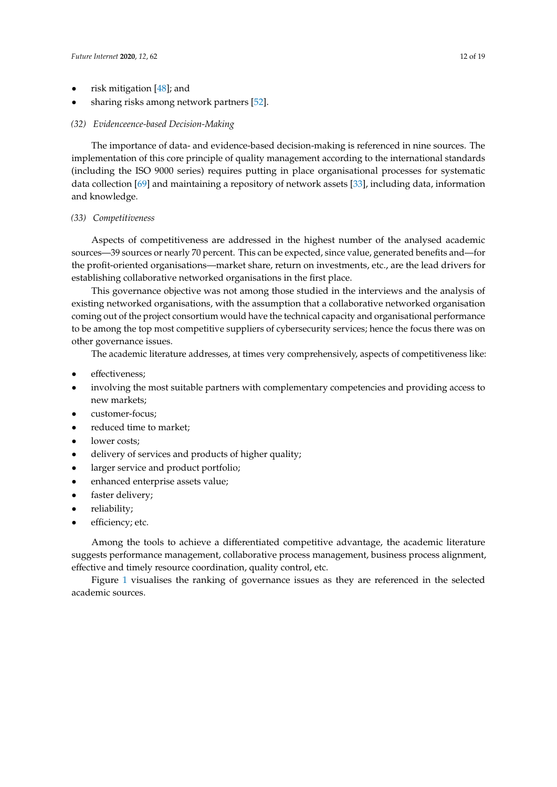- risk mitigation  $[48]$ ; and
- sharing risks among network partners [\[52\]](#page-17-11).
- *(32) Evidenceence-based Decision-Making*

The importance of data- and evidence-based decision-making is referenced in nine sources. The implementation of this core principle of quality management according to the international standards (including the ISO 9000 series) requires putting in place organisational processes for systematic data collection [\[69\]](#page-18-9) and maintaining a repository of network assets [\[33\]](#page-16-14), including data, information and knowledge.

### *(33) Competitiveness*

Aspects of competitiveness are addressed in the highest number of the analysed academic sources—39 sources or nearly 70 percent. This can be expected, since value, generated benefits and—for the profit-oriented organisations—market share, return on investments, etc., are the lead drivers for establishing collaborative networked organisations in the first place.

This governance objective was not among those studied in the interviews and the analysis of existing networked organisations, with the assumption that a collaborative networked organisation coming out of the project consortium would have the technical capacity and organisational performance to be among the top most competitive suppliers of cybersecurity services; hence the focus there was on other governance issues.

The academic literature addresses, at times very comprehensively, aspects of competitiveness like:

- effectiveness;
- involving the most suitable partners with complementary competencies and providing access to new markets;
- customer-focus;
- reduced time to market;
- lower costs:
- delivery of services and products of higher quality;
- larger service and product portfolio;
- enhanced enterprise assets value;
- faster delivery;
- reliability;
- efficiency; etc.

Among the tools to achieve a differentiated competitive advantage, the academic literature suggests performance management, collaborative process management, business process alignment, effective and timely resource coordination, quality control, etc.

Figure [1](#page-12-0) visualises the ranking of governance issues as they are referenced in the selected academic sources.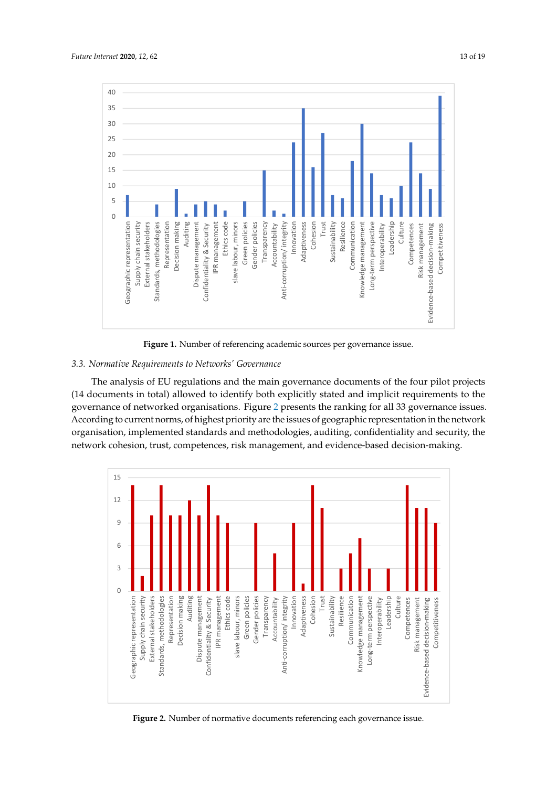<span id="page-12-0"></span>

**Figure 1.** Number of referencing academic sources per governance issue. **Figure 1.** Number of referencing academic sources per governance issue.

## *3.3. Normative Requirements to Networks' Governance 3.3. Normative Requirements to Networks' Governance*

The analysis of EU regulations and the main governance documents of the four pilot projects documents in total) allowed to identify both explicitly stated and implicit requirements to the (14 documents in total) allowed to identify both explicitly stated and implicit requirements to the governance of networked organisations. Figure 2 presents the ranking for all 33 governance issues. governance of networked organisations. Figure [2](#page-12-1) presents the ranking for all 33 governance issues. According to compute the international conditions. There is present the intrinsic representation in the second According to current norms, of highest priority are the issues of geographic representation in the network organisation, implemented standards and methodologies, auditing, confidentiality and security, the network cohesion, trust, competences, risk management, and evidence-based decision-making.

<span id="page-12-1"></span>

**Figure 2.** Number of normative documents referencing each governance issue. **Figure 2.** Number of normative documents referencing each governance issue.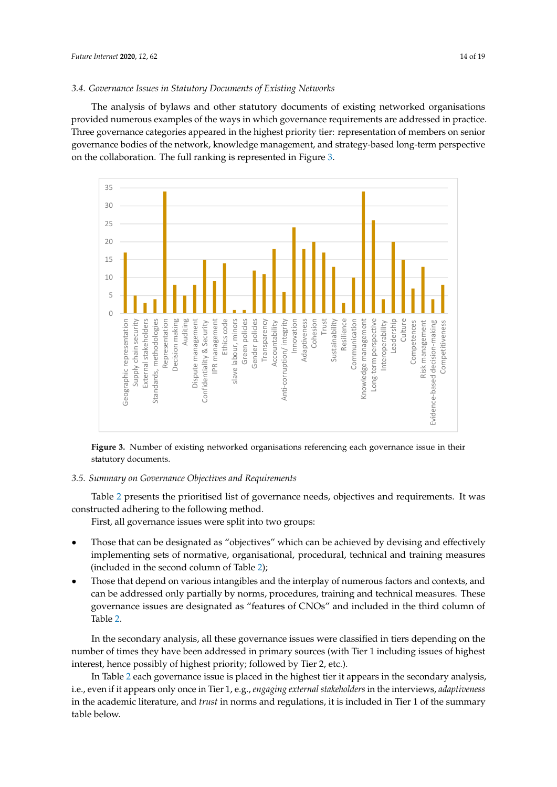## *3.4. Governance Issues in Statutory Documents of Existing Networks*

The analysis of bylaws and other statutory documents of existing networked organisations provided numerous examples of the ways in which governance requirements are addressed in practice. Three governance categories appeared in the highest priority tier: representation of members on senior governance bodies of the network, knowledge management, and strategy-based long-term perspective on the collaboration. The full ranking is represented in Figure [3.](#page-13-0)

<span id="page-13-0"></span>

**Figure 3.** Number of existing networked organisations referencing each governance issue in their statutory documents.

## *3.5. Summary on Governance Objectives and Requirements*

Table [2](#page-14-0) presents the prioritised list of governance needs, objectives and requirements. It was constructed adhering to the following method.

First, all governance issues were split into two groups:

- Those that can be designated as "objectives" which can be achieved by devising and effectively implementing sets of normative, organisational, procedural, technical and training measures (included in the second column of Table [2\)](#page-14-0);
- Those that depend on various intangibles and the interplay of numerous factors and contexts, and can be addressed only partially by norms, procedures, training and technical measures. These governance issues are designated as "features of CNOs" and included in the third column of Table [2.](#page-14-0)

In the secondary analysis, all these governance issues were classified in tiers depending on the number of times they have been addressed in primary sources (with Tier 1 including issues of highest interest, hence possibly of highest priority; followed by Tier 2, etc.).

In Table [2](#page-14-0) each governance issue is placed in the highest tier it appears in the secondary analysis, i.e., even if it appears only once in Tier 1, e.g., *engaging external stakeholders* in the interviews, *adaptiveness* in the academic literature, and *trust* in norms and regulations, it is included in Tier 1 of the summary table below.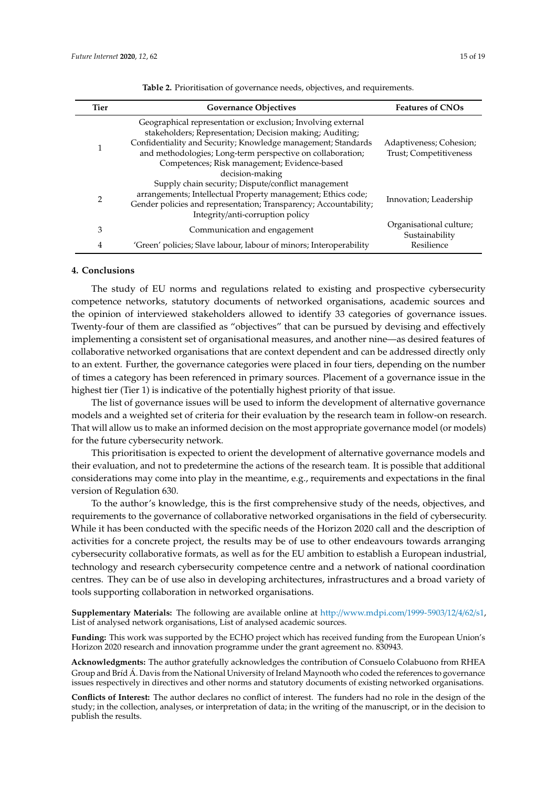<span id="page-14-0"></span>

| <b>Tier</b>    | <b>Governance Objectives</b>                                                                                                                                                                                                                                                                                               | <b>Features of CNOs</b>                           |
|----------------|----------------------------------------------------------------------------------------------------------------------------------------------------------------------------------------------------------------------------------------------------------------------------------------------------------------------------|---------------------------------------------------|
| 1              | Geographical representation or exclusion; Involving external<br>stakeholders; Representation; Decision making; Auditing;<br>Confidentiality and Security; Knowledge management; Standards<br>and methodologies; Long-term perspective on collaboration;<br>Competences; Risk management; Evidence-based<br>decision-making | Adaptiveness; Cohesion;<br>Trust; Competitiveness |
| $\overline{2}$ | Supply chain security; Dispute/conflict management<br>arrangements; Intellectual Property management; Ethics code;<br>Gender policies and representation; Transparency; Accountability;<br>Integrity/anti-corruption policy                                                                                                | Innovation; Leadership                            |
| 3              | Communication and engagement                                                                                                                                                                                                                                                                                               | Organisational culture;<br>Sustainability         |
| 4              | 'Green' policies; Slave labour, labour of minors; Interoperability                                                                                                                                                                                                                                                         | Resilience                                        |

**Table 2.** Prioritisation of governance needs, objectives, and requirements.

## **4. Conclusions**

The study of EU norms and regulations related to existing and prospective cybersecurity competence networks, statutory documents of networked organisations, academic sources and the opinion of interviewed stakeholders allowed to identify 33 categories of governance issues. Twenty-four of them are classified as "objectives" that can be pursued by devising and effectively implementing a consistent set of organisational measures, and another nine—as desired features of collaborative networked organisations that are context dependent and can be addressed directly only to an extent. Further, the governance categories were placed in four tiers, depending on the number of times a category has been referenced in primary sources. Placement of a governance issue in the highest tier (Tier 1) is indicative of the potentially highest priority of that issue.

The list of governance issues will be used to inform the development of alternative governance models and a weighted set of criteria for their evaluation by the research team in follow-on research. That will allow us to make an informed decision on the most appropriate governance model (or models) for the future cybersecurity network.

This prioritisation is expected to orient the development of alternative governance models and their evaluation, and not to predetermine the actions of the research team. It is possible that additional considerations may come into play in the meantime, e.g., requirements and expectations in the final version of Regulation 630.

To the author's knowledge, this is the first comprehensive study of the needs, objectives, and requirements to the governance of collaborative networked organisations in the field of cybersecurity. While it has been conducted with the specific needs of the Horizon 2020 call and the description of activities for a concrete project, the results may be of use to other endeavours towards arranging cybersecurity collaborative formats, as well as for the EU ambition to establish a European industrial, technology and research cybersecurity competence centre and a network of national coordination centres. They can be of use also in developing architectures, infrastructures and a broad variety of tools supporting collaboration in networked organisations.

**Supplementary Materials:** The following are available online at http://[www.mdpi.com](http://www.mdpi.com/1999-5903/12/4/62/s1)/1999-5903/12/4/62/s1, List of analysed network organisations, List of analysed academic sources.

**Funding:** This work was supported by the ECHO project which has received funding from the European Union's Horizon 2020 research and innovation programme under the grant agreement no. 830943.

**Acknowledgments:** The author gratefully acknowledges the contribution of Consuelo Colabuono from RHEA Group and Bríd Á. Davis from the National University of Ireland Maynooth who coded the references to governance issues respectively in directives and other norms and statutory documents of existing networked organisations.

**Conflicts of Interest:** The author declares no conflict of interest. The funders had no role in the design of the study; in the collection, analyses, or interpretation of data; in the writing of the manuscript, or in the decision to publish the results.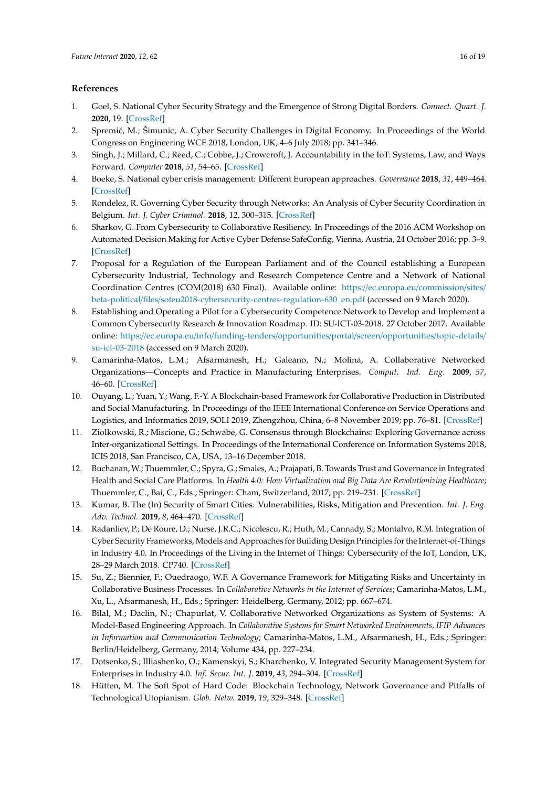# **References**

- <span id="page-15-0"></span>1. Goel, S. National Cyber Security Strategy and the Emergence of Strong Digital Borders. *Connect. Quart. J.* **2020**, 19. [\[CrossRef\]](http://dx.doi.org/10.11610/Connections.19.1.07)
- <span id="page-15-1"></span>2. Spremić, M.; Šimunic, A. Cyber Security Challenges in Digital Economy. In Proceedings of the World Congress on Engineering WCE 2018, London, UK, 4–6 July 2018; pp. 341–346.
- <span id="page-15-2"></span>3. Singh, J.; Millard, C.; Reed, C.; Cobbe, J.; Crowcroft, J. Accountability in the IoT: Systems, Law, and Ways Forward. *Computer* **2018**, *51*, 54–65. [\[CrossRef\]](http://dx.doi.org/10.1109/MC.2018.3011052)
- <span id="page-15-3"></span>4. Boeke, S. National cyber crisis management: Different European approaches. *Governance* **2018**, *31*, 449–464. [\[CrossRef\]](http://dx.doi.org/10.1111/gove.12309)
- <span id="page-15-4"></span>5. Rondelez, R. Governing Cyber Security through Networks: An Analysis of Cyber Security Coordination in Belgium. *Int. J. Cyber Criminol.* **2018**, *12*, 300–315. [\[CrossRef\]](http://dx.doi.org/10.5281/zenodo.1467929)
- <span id="page-15-5"></span>6. Sharkov, G. From Cybersecurity to Collaborative Resiliency. In Proceedings of the 2016 ACM Workshop on Automated Decision Making for Active Cyber Defense SafeConfig, Vienna, Austria, 24 October 2016; pp. 3–9. [\[CrossRef\]](http://dx.doi.org/10.1145/2994475.2994484)
- <span id="page-15-6"></span>7. Proposal for a Regulation of the European Parliament and of the Council establishing a European Cybersecurity Industrial, Technology and Research Competence Centre and a Network of National Coordination Centres (COM(2018) 630 Final). Available online: https://[ec.europa.eu](https://ec.europa.eu/commission/sites/beta-political/files/soteu2018-cybersecurity-centres-regulation-630_en.pdf)/commission/sites/ beta-political/files/[soteu2018-cybersecurity-centres-regulation-630\\_en.pdf](https://ec.europa.eu/commission/sites/beta-political/files/soteu2018-cybersecurity-centres-regulation-630_en.pdf) (accessed on 9 March 2020).
- <span id="page-15-7"></span>8. Establishing and Operating a Pilot for a Cybersecurity Competence Network to Develop and Implement a Common Cybersecurity Research & Innovation Roadmap. ID: SU-ICT-03-2018. 27 October 2017. Available online: https://ec.europa.eu/info/[funding-tenders](https://ec.europa.eu/info/funding-tenders/opportunities/portal/screen/opportunities/topic-details/su-ict-03-2018)/opportunities/portal/screen/opportunities/topic-details/ [su-ict-03-2018](https://ec.europa.eu/info/funding-tenders/opportunities/portal/screen/opportunities/topic-details/su-ict-03-2018) (accessed on 9 March 2020).
- <span id="page-15-8"></span>9. Camarinha-Matos, L.M.; Afsarmanesh, H.; Galeano, N.; Molina, A. Collaborative Networked Organizations—Concepts and Practice in Manufacturing Enterprises. *Comput. Ind. Eng.* **2009**, *57*, 46–60. [\[CrossRef\]](http://dx.doi.org/10.1016/j.cie.2008.11.024)
- <span id="page-15-9"></span>10. Ouyang, L.; Yuan, Y.; Wang, F.-Y. A Blockchain-based Framework for Collaborative Production in Distributed and Social Manufacturing. In Proceedings of the IEEE International Conference on Service Operations and Logistics, and Informatics 2019, SOLI 2019, Zhengzhou, China, 6–8 November 2019; pp. 76–81. [\[CrossRef\]](http://dx.doi.org/10.1109/SOLI48380.2019.8955075)
- <span id="page-15-10"></span>11. Ziolkowski, R.; Miscione, G.; Schwabe, G. Consensus through Blockchains: Exploring Governance across Inter-organizational Settings. In Proceedings of the International Conference on Information Systems 2018, ICIS 2018, San Francisco, CA, USA, 13–16 December 2018.
- <span id="page-15-11"></span>12. Buchanan, W.; Thuemmler, C.; Spyra, G.; Smales, A.; Prajapati, B. Towards Trust and Governance in Integrated Health and Social Care Platforms. In *Health 4.0: How Virtualization and Big Data Are Revolutionizing Healthcare*; Thuemmler, C., Bai, C., Eds.; Springer: Cham, Switzerland, 2017; pp. 219–231. [\[CrossRef\]](http://dx.doi.org/10.1007/978-3-319-47617-9_11)
- <span id="page-15-12"></span>13. Kumar, B. The (In) Security of Smart Cities: Vulnerabilities, Risks, Mitigation and Prevention. *Int. J. Eng. Adv. Technol.* **2019**, *8*, 464–470. [\[CrossRef\]](http://dx.doi.org/10.35940/ijeat.E1097.0785S319)
- <span id="page-15-13"></span>14. Radanliev, P.; De Roure, D.; Nurse, J.R.C.; Nicolescu, R.; Huth, M.; Cannady, S.; Montalvo, R.M. Integration of Cyber Security Frameworks, Models and Approaches for Building Design Principles for the Internet-of-Things in Industry 4.0. In Proceedings of the Living in the Internet of Things: Cybersecurity of the IoT, London, UK, 28–29 March 2018. CP740. [\[CrossRef\]](http://dx.doi.org/10.1049/cp.2018.0041)
- <span id="page-15-14"></span>15. Su, Z.; Biennier, F.; Ouedraogo, W.F. A Governance Framework for Mitigating Risks and Uncertainty in Collaborative Business Processes. In *Collaborative Networks in the Internet of Services*; Camarinha-Matos, L.M., Xu, L., Afsarmanesh, H., Eds.; Springer: Heidelberg, Germany, 2012; pp. 667–674.
- <span id="page-15-15"></span>16. Bilal, M.; Daclin, N.; Chapurlat, V. Collaborative Networked Organizations as System of Systems: A Model-Based Engineering Approach. In *Collaborative Systems for Smart Networked Environments, IFIP Advances in Information and Communication Technology*; Camarinha-Matos, L.M., Afsarmanesh, H., Eds.; Springer: Berlin/Heidelberg, Germany, 2014; Volume 434, pp. 227–234.
- <span id="page-15-16"></span>17. Dotsenko, S.; Illiashenko, O.; Kamenskyi, S.; Kharchenko, V. Integrated Security Management System for Enterprises in Industry 4.0. *Inf. Secur. Int. J.* **2019**, *43*, 294–304. [\[CrossRef\]](http://dx.doi.org/10.11610/isij.4322)
- <span id="page-15-17"></span>18. Hütten, M. The Soft Spot of Hard Code: Blockchain Technology, Network Governance and Pitfalls of Technological Utopianism. *Glob. Netw.* **2019**, *19*, 329–348. [\[CrossRef\]](http://dx.doi.org/10.1111/glob.12217)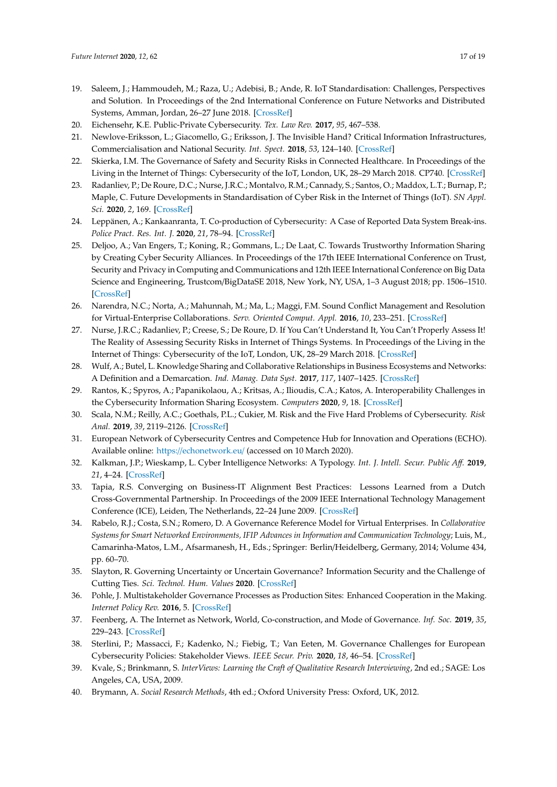- <span id="page-16-0"></span>19. Saleem, J.; Hammoudeh, M.; Raza, U.; Adebisi, B.; Ande, R. IoT Standardisation: Challenges, Perspectives and Solution. In Proceedings of the 2nd International Conference on Future Networks and Distributed Systems, Amman, Jordan, 26–27 June 2018. [\[CrossRef\]](http://dx.doi.org/10.1145/3231053.3231103)
- <span id="page-16-1"></span>20. Eichensehr, K.E. Public-Private Cybersecurity. *Tex. Law Rev.* **2017**, *95*, 467–538.
- <span id="page-16-2"></span>21. Newlove-Eriksson, L.; Giacomello, G.; Eriksson, J. The Invisible Hand? Critical Information Infrastructures, Commercialisation and National Security. *Int. Spect.* **2018**, *53*, 124–140. [\[CrossRef\]](http://dx.doi.org/10.1080/03932729.2018.1458445)
- <span id="page-16-3"></span>22. Skierka, I.M. The Governance of Safety and Security Risks in Connected Healthcare. In Proceedings of the Living in the Internet of Things: Cybersecurity of the IoT, London, UK, 28–29 March 2018. CP740. [\[CrossRef\]](http://dx.doi.org/10.1049/cp.2018.0002)
- <span id="page-16-4"></span>23. Radanliev, P.; De Roure, D.C.; Nurse, J.R.C.; Montalvo, R.M.; Cannady, S.; Santos, O.; Maddox, L.T.; Burnap, P.; Maple, C. Future Developments in Standardisation of Cyber Risk in the Internet of Things (IoT). *SN Appl. Sci.* **2020**, *2*, 169. [\[CrossRef\]](http://dx.doi.org/10.1007/s42452-019-1931-0)
- <span id="page-16-5"></span>24. Leppänen, A.; Kankaanranta, T. Co-production of Cybersecurity: A Case of Reported Data System Break-ins. *Police Pract. Res. Int. J.* **2020**, *21*, 78–94. [\[CrossRef\]](http://dx.doi.org/10.1080/15614263.2018.1525382)
- <span id="page-16-6"></span>25. Deljoo, A.; Van Engers, T.; Koning, R.; Gommans, L.; De Laat, C. Towards Trustworthy Information Sharing by Creating Cyber Security Alliances. In Proceedings of the 17th IEEE International Conference on Trust, Security and Privacy in Computing and Communications and 12th IEEE International Conference on Big Data Science and Engineering, Trustcom/BigDataSE 2018, New York, NY, USA, 1–3 August 2018; pp. 1506–1510. [\[CrossRef\]](http://dx.doi.org/10.1109/TrustCom/BigDataSE.2018.00213)
- <span id="page-16-7"></span>26. Narendra, N.C.; Norta, A.; Mahunnah, M.; Ma, L.; Maggi, F.M. Sound Conflict Management and Resolution for Virtual-Enterprise Collaborations. *Serv. Oriented Comput. Appl.* **2016**, *10*, 233–251. [\[CrossRef\]](http://dx.doi.org/10.1007/s11761-015-0183-0)
- <span id="page-16-8"></span>27. Nurse, J.R.C.; Radanliev, P.; Creese, S.; De Roure, D. If You Can't Understand It, You Can't Properly Assess It! The Reality of Assessing Security Risks in Internet of Things Systems. In Proceedings of the Living in the Internet of Things: Cybersecurity of the IoT, London, UK, 28–29 March 2018. [\[CrossRef\]](http://dx.doi.org/10.1049/cp.2018.0001)
- <span id="page-16-9"></span>28. Wulf, A.; Butel, L. Knowledge Sharing and Collaborative Relationships in Business Ecosystems and Networks: A Definition and a Demarcation. *Ind. Manag. Data Syst.* **2017**, *117*, 1407–1425. [\[CrossRef\]](http://dx.doi.org/10.1108/IMDS-09-2016-0408)
- <span id="page-16-10"></span>29. Rantos, K.; Spyros, A.; Papanikolaou, A.; Kritsas, A.; Ilioudis, C.A.; Katos, A. Interoperability Challenges in the Cybersecurity Information Sharing Ecosystem. *Computers* **2020**, *9*, 18. [\[CrossRef\]](http://dx.doi.org/10.3390/computers9010018)
- <span id="page-16-11"></span>30. Scala, N.M.; Reilly, A.C.; Goethals, P.L.; Cukier, M. Risk and the Five Hard Problems of Cybersecurity. *Risk Anal.* **2019**, *39*, 2119–2126. [\[CrossRef\]](http://dx.doi.org/10.1111/risa.13309)
- <span id="page-16-12"></span>31. European Network of Cybersecurity Centres and Competence Hub for Innovation and Operations (ECHO). Available online: https://[echonetwork.eu](https://echonetwork.eu/)/ (accessed on 10 March 2020).
- <span id="page-16-13"></span>32. Kalkman, J.P.; Wieskamp, L. Cyber Intelligence Networks: A Typology. *Int. J. Intell. Secur. Public A*ff*.* **2019**, *21*, 4–24. [\[CrossRef\]](http://dx.doi.org/10.1080/23800992.2019.1598092)
- <span id="page-16-14"></span>33. Tapia, R.S. Converging on Business-IT Alignment Best Practices: Lessons Learned from a Dutch Cross-Governmental Partnership. In Proceedings of the 2009 IEEE International Technology Management Conference (ICE), Leiden, The Netherlands, 22–24 June 2009. [\[CrossRef\]](http://dx.doi.org/10.1109/ITMC.2009.7461398)
- <span id="page-16-15"></span>34. Rabelo, R.J.; Costa, S.N.; Romero, D. A Governance Reference Model for Virtual Enterprises. In *Collaborative Systems for Smart Networked Environments, IFIP Advances in Information and Communication Technology*; Luis, M., Camarinha-Matos, L.M., Afsarmanesh, H., Eds.; Springer: Berlin/Heidelberg, Germany, 2014; Volume 434, pp. 60–70.
- <span id="page-16-16"></span>35. Slayton, R. Governing Uncertainty or Uncertain Governance? Information Security and the Challenge of Cutting Ties. *Sci. Technol. Hum. Values* **2020**. [\[CrossRef\]](http://dx.doi.org/10.1177/0162243919901159)
- <span id="page-16-17"></span>36. Pohle, J. Multistakeholder Governance Processes as Production Sites: Enhanced Cooperation in the Making. *Internet Policy Rev.* **2016**, 5. [\[CrossRef\]](http://dx.doi.org/10.14763/2016.3.432)
- <span id="page-16-18"></span>37. Feenberg, A. The Internet as Network, World, Co-construction, and Mode of Governance. *Inf. Soc.* **2019**, *35*, 229–243. [\[CrossRef\]](http://dx.doi.org/10.1080/01972243.2019.1617211)
- <span id="page-16-19"></span>38. Sterlini, P.; Massacci, F.; Kadenko, N.; Fiebig, T.; Van Eeten, M. Governance Challenges for European Cybersecurity Policies: Stakeholder Views. *IEEE Secur. Priv.* **2020**, *18*, 46–54. [\[CrossRef\]](http://dx.doi.org/10.1109/MSEC.2019.2945309)
- <span id="page-16-20"></span>39. Kvale, S.; Brinkmann, S. *InterViews: Learning the Craft of Qualitative Research Interviewing*, 2nd ed.; SAGE: Los Angeles, CA, USA, 2009.
- <span id="page-16-21"></span>40. Brymann, A. *Social Research Methods*, 4th ed.; Oxford University Press: Oxford, UK, 2012.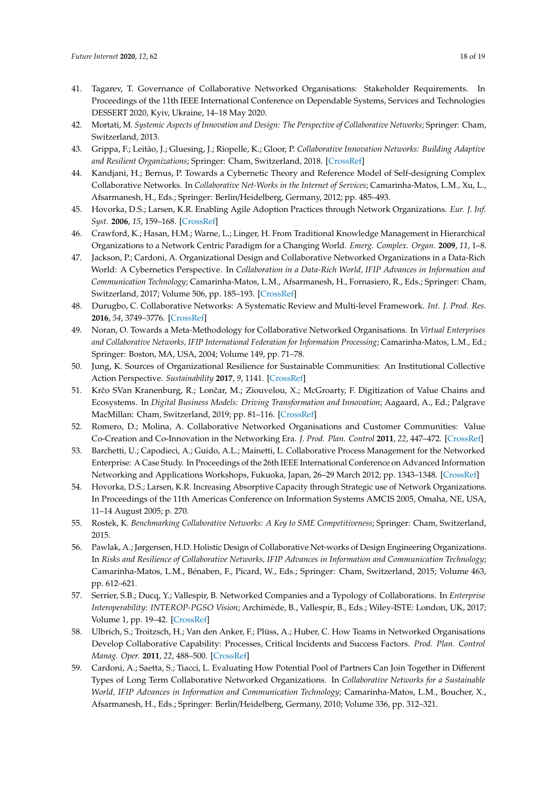- <span id="page-17-0"></span>41. Tagarev, T. Governance of Collaborative Networked Organisations: Stakeholder Requirements. In Proceedings of the 11th IEEE International Conference on Dependable Systems, Services and Technologies DESSERT 2020, Kyiv, Ukraine, 14–18 May 2020.
- <span id="page-17-1"></span>42. Mortati, M. *Systemic Aspects of Innovation and Design: The Perspective of Collaborative Networks*; Springer: Cham, Switzerland, 2013.
- <span id="page-17-2"></span>43. Grippa, F.; Leitão, J.; Gluesing, J.; Riopelle, K.; Gloor, P. *Collaborative Innovation Networks: Building Adaptive and Resilient Organizations*; Springer: Cham, Switzerland, 2018. [\[CrossRef\]](http://dx.doi.org/10.1007/978-3-319-74295-3)
- <span id="page-17-3"></span>44. Kandjani, H.; Bernus, P. Towards a Cybernetic Theory and Reference Model of Self-designing Complex Collaborative Networks. In *Collaborative Net-Works in the Internet of Services*; Camarinha-Matos, L.M., Xu, L., Afsarmanesh, H., Eds.; Springer: Berlin/Heidelberg, Germany, 2012; pp. 485–493.
- <span id="page-17-4"></span>45. Hovorka, D.S.; Larsen, K.R. Enabling Agile Adoption Practices through Network Organizations. *Eur. J. Inf. Syst.* **2006**, *15*, 159–168. [\[CrossRef\]](http://dx.doi.org/10.1057/palgrave.ejis.3000606)
- <span id="page-17-5"></span>46. Crawford, K.; Hasan, H.M.; Warne, L.; Linger, H. From Traditional Knowledge Management in Hierarchical Organizations to a Network Centric Paradigm for a Changing World. *Emerg. Complex. Organ.* **2009**, *11*, 1–8.
- <span id="page-17-6"></span>47. Jackson, P.; Cardoni, A. Organizational Design and Collaborative Networked Organizations in a Data-Rich World: A Cybernetics Perspective. In *Collaboration in a Data-Rich World, IFIP Advances in Information and Communication Technology*; Camarinha-Matos, L.M., Afsarmanesh, H., Fornasiero, R., Eds.; Springer: Cham, Switzerland, 2017; Volume 506, pp. 185–193. [\[CrossRef\]](http://dx.doi.org/10.1007/978-3-319-65151-4_18)
- <span id="page-17-7"></span>48. Durugbo, C. Collaborative Networks: A Systematic Review and Multi-level Framework. *Int. J. Prod. Res.* **2016**, *54*, 3749–3776. [\[CrossRef\]](http://dx.doi.org/10.1080/00207543.2015.1122249)
- <span id="page-17-8"></span>49. Noran, O. Towards a Meta-Methodology for Collaborative Networked Organisations. In *Virtual Enterprises and Collaborative Networks, IFIP International Federation for Information Processing*; Camarinha-Matos, L.M., Ed.; Springer: Boston, MA, USA, 2004; Volume 149, pp. 71–78.
- <span id="page-17-9"></span>50. Jung, K. Sources of Organizational Resilience for Sustainable Communities: An Institutional Collective Action Perspective. *Sustainability* **2017**, *9*, 1141. [\[CrossRef\]](http://dx.doi.org/10.3390/su9071141)
- <span id="page-17-10"></span>51. Krčo SVan Kranenburg, R.; Lončar, M.; Ziouvelou, X.; McGroarty, F. Digitization of Value Chains and Ecosystems. In *Digital Business Models: Driving Transformation and Innovation*; Aagaard, A., Ed.; Palgrave MacMillan: Cham, Switzerland, 2019; pp. 81–116. [\[CrossRef\]](http://dx.doi.org/10.1007/978-3-319-96902-2_4)
- <span id="page-17-11"></span>52. Romero, D.; Molina, A. Collaborative Networked Organisations and Customer Communities: Value Co-Creation and Co-Innovation in the Networking Era. *J. Prod. Plan. Control* **2011**, *22*, 447–472. [\[CrossRef\]](http://dx.doi.org/10.1080/09537287.2010.536619)
- <span id="page-17-12"></span>53. Barchetti, U.; Capodieci, A.; Guido, A.L.; Mainetti, L. Collaborative Process Management for the Networked Enterprise: A Case Study. In Proceedings of the 26th IEEE International Conference on Advanced Information Networking and Applications Workshops, Fukuoka, Japan, 26–29 March 2012; pp. 1343–1348. [\[CrossRef\]](http://dx.doi.org/10.1109/WAINA.2012.57)
- <span id="page-17-13"></span>54. Hovorka, D.S.; Larsen, K.R. Increasing Absorptive Capacity through Strategic use of Network Organizations. In Proceedings of the 11th Americas Conference on Information Systems AMCIS 2005, Omaha, NE, USA, 11–14 August 2005; p. 270.
- <span id="page-17-14"></span>55. Rostek, K. *Benchmarking Collaborative Networks: A Key to SME Competitiveness*; Springer: Cham, Switzerland, 2015.
- <span id="page-17-15"></span>56. Pawlak, A.; Jørgensen, H.D. Holistic Design of Collaborative Net-works of Design Engineering Organizations. In *Risks and Resilience of Collaborative Networks, IFIP Advances in Information and Communication Technology*; Camarinha-Matos, L.M., Bénaben, F., Picard, W., Eds.; Springer: Cham, Switzerland, 2015; Volume 463, pp. 612–621.
- <span id="page-17-16"></span>57. Serrier, S.B.; Ducq, Y.; Vallespir, B. Networked Companies and a Typology of Collaborations. In *Enterprise Interoperability: INTEROP-PGSO Vision*; Archimède, B., Vallespir, B., Eds.; Wiley-ISTE: London, UK, 2017; Volume 1, pp. 19–42. [\[CrossRef\]](http://dx.doi.org/10.1002/9781119407928.ch2)
- <span id="page-17-17"></span>58. Ulbrich, S.; Troitzsch, H.; Van den Anker, F.; Plüss, A.; Huber, C. How Teams in Networked Organisations Develop Collaborative Capability: Processes, Critical Incidents and Success Factors. *Prod. Plan. Control Manag. Oper.* **2011**, *22*, 488–500. [\[CrossRef\]](http://dx.doi.org/10.1080/09537287.2010.536621)
- <span id="page-17-18"></span>59. Cardoni, A.; Saetta, S.; Tiacci, L. Evaluating How Potential Pool of Partners Can Join Together in Different Types of Long Term Collaborative Networked Organizations. In *Collaborative Networks for a Sustainable World, IFIP Advances in Information and Communication Technology*; Camarinha-Matos, L.M., Boucher, X., Afsarmanesh, H., Eds.; Springer: Berlin/Heidelberg, Germany, 2010; Volume 336, pp. 312–321.